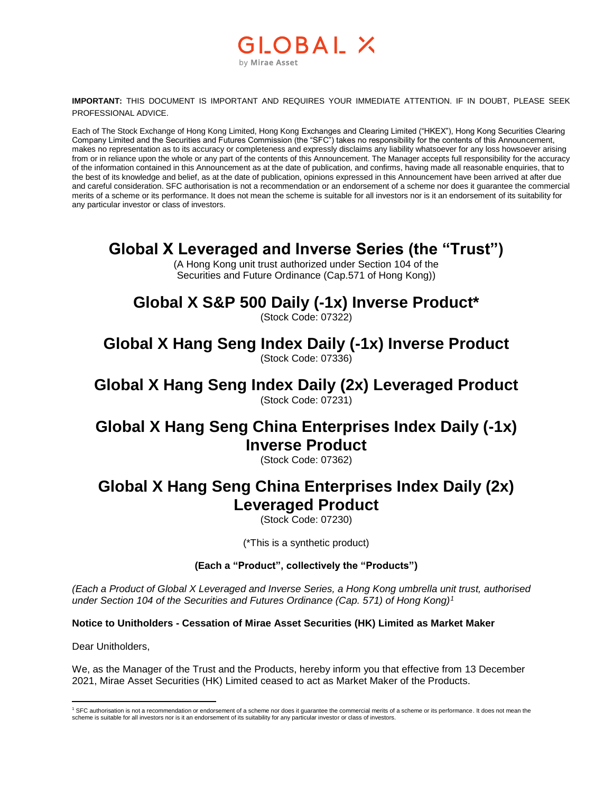#### **GLOBAL X** by Mirae Asset

**IMPORTANT:** THIS DOCUMENT IS IMPORTANT AND REQUIRES YOUR IMMEDIATE ATTENTION. IF IN DOUBT, PLEASE SEEK PROFESSIONAL ADVICE.

Each of The Stock Exchange of Hong Kong Limited, Hong Kong Exchanges and Clearing Limited ("HKEX"), Hong Kong Securities Clearing Company Limited and the Securities and Futures Commission (the "SFC") takes no responsibility for the contents of this Announcement, makes no representation as to its accuracy or completeness and expressly disclaims any liability whatsoever for any loss howsoever arising from or in reliance upon the whole or any part of the contents of this Announcement. The Manager accepts full responsibility for the accuracy of the information contained in this Announcement as at the date of publication, and confirms, having made all reasonable enquiries, that to the best of its knowledge and belief, as at the date of publication, opinions expressed in this Announcement have been arrived at after due and careful consideration. SFC authorisation is not a recommendation or an endorsement of a scheme nor does it guarantee the commercial merits of a scheme or its performance. It does not mean the scheme is suitable for all investors nor is it an endorsement of its suitability for any particular investor or class of investors.

## **Global X Leveraged and Inverse Series (the "Trust")**

(A Hong Kong unit trust authorized under Section 104 of the Securities and Future Ordinance (Cap.571 of Hong Kong))

# **Global X S&P 500 Daily (-1x) Inverse Product\***

(Stock Code: 07322)

**Global X Hang Seng Index Daily (-1x) Inverse Product** (Stock Code: 07336)

**Global X Hang Seng Index Daily (2x) Leveraged Product** (Stock Code: 07231)

## **Global X Hang Seng China Enterprises Index Daily (-1x) Inverse Product**

(Stock Code: 07362)

## **Global X Hang Seng China Enterprises Index Daily (2x) Leveraged Product**

(Stock Code: 07230)

(\*This is a synthetic product)

#### **(Each a "Product", collectively the "Products")**

*(Each a Product of Global X Leveraged and Inverse Series, a Hong Kong umbrella unit trust, authorised under Section 104 of the Securities and Futures Ordinance (Cap. 571) of Hong Kong)<sup>1</sup>*

**Notice to Unitholders - Cessation of Mirae Asset Securities (HK) Limited as Market Maker**

Dear Unitholders,

We, as the Manager of the Trust and the Products, hereby inform you that effective from 13 December 2021, Mirae Asset Securities (HK) Limited ceased to act as Market Maker of the Products.

 $\overline{a}$ <sup>1</sup> SFC authorisation is not a recommendation or endorsement of a scheme nor does it guarantee the commercial merits of a scheme or its performance. It does not mean the scheme is suitable for all investors nor is it an endorsement of its suitability for any particular investor or class of investors.